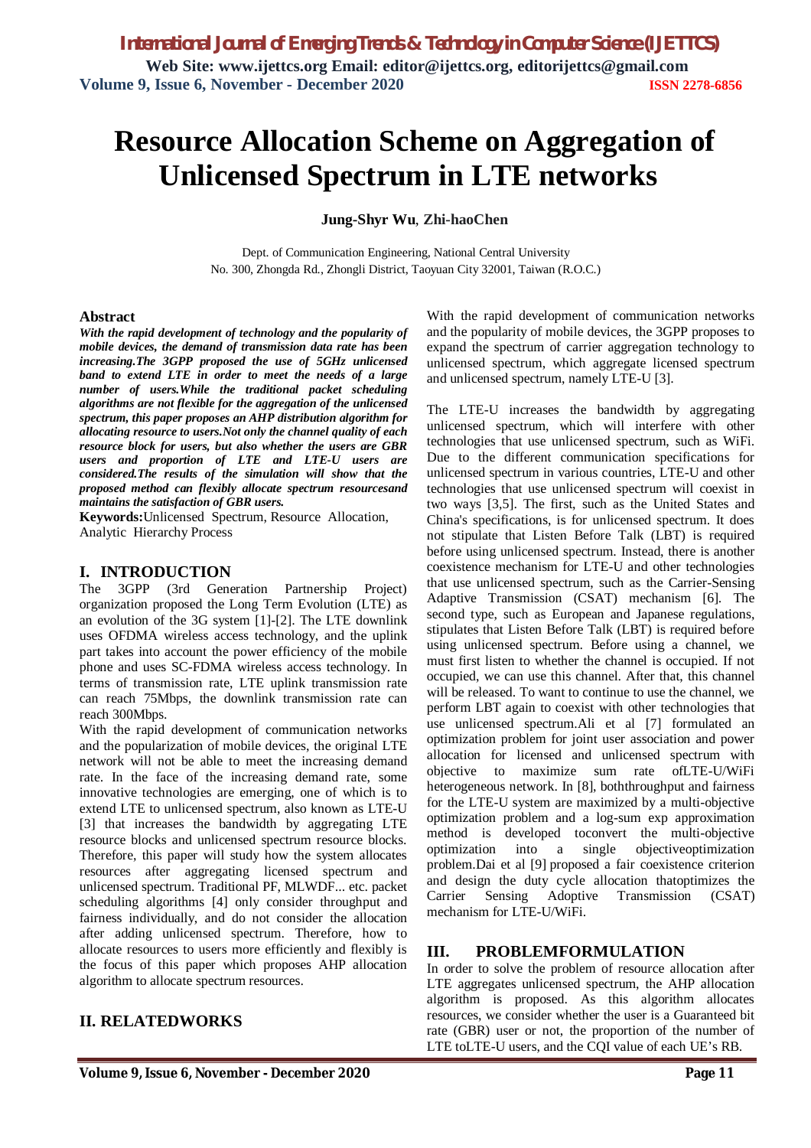# **Resource Allocation Scheme on Aggregation of Unlicensed Spectrum in LTE networks**

**Jung-Shyr Wu**, **Zhi-haoChen**

Dept. of Communication Engineering, National Central University No. 300, Zhongda Rd., Zhongli District, Taoyuan City 32001, Taiwan (R.O.C.)

### **Abstract**

*With the rapid development of technology and the popularity of mobile devices, the demand of transmission data rate has been increasing.The 3GPP proposed the use of 5GHz unlicensed band to extend LTE in order to meet the needs of a large number of users.While the traditional packet scheduling algorithms are not flexible for the aggregation of the unlicensed spectrum, this paper proposes an AHP distribution algorithm for allocating resource to users.Not only the channel quality of each resource block for users, but also whether the users are GBR users and proportion of LTE and LTE-U users are considered.The results of the simulation will show that the proposed method can flexibly allocate spectrum resourcesand maintains the satisfaction of GBR users.*

**Keywords:**Unlicensed Spectrum, Resource Allocation, Analytic Hierarchy Process

### **I. INTRODUCTION**

The 3GPP (3rd Generation Partnership Project) organization proposed the Long Term Evolution (LTE) as an evolution of the 3G system [1]-[2]. The LTE downlink uses OFDMA wireless access technology, and the uplink part takes into account the power efficiency of the mobile phone and uses SC-FDMA wireless access technology. In terms of transmission rate, LTE uplink transmission rate can reach 75Mbps, the downlink transmission rate can reach 300Mbps.

With the rapid development of communication networks and the popularization of mobile devices, the original LTE network will not be able to meet the increasing demand rate. In the face of the increasing demand rate, some innovative technologies are emerging, one of which is to extend LTE to unlicensed spectrum, also known as LTE-U [3] that increases the bandwidth by aggregating LTE resource blocks and unlicensed spectrum resource blocks. Therefore, this paper will study how the system allocates resources after aggregating licensed spectrum and unlicensed spectrum. Traditional PF, MLWDF... etc. packet scheduling algorithms [4] only consider throughput and fairness individually, and do not consider the allocation after adding unlicensed spectrum. Therefore, how to allocate resources to users more efficiently and flexibly is the focus of this paper which proposes AHP allocation algorithm to allocate spectrum resources.

### **II. RELATEDWORKS**

With the rapid development of communication networks and the popularity of mobile devices, the 3GPP proposes to expand the spectrum of carrier aggregation technology to unlicensed spectrum, which aggregate licensed spectrum and unlicensed spectrum, namely LTE-U [3].

The LTE-U increases the bandwidth by aggregating unlicensed spectrum, which will interfere with other technologies that use unlicensed spectrum, such as WiFi. Due to the different communication specifications for unlicensed spectrum in various countries, LTE-U and other technologies that use unlicensed spectrum will coexist in two ways [3,5]. The first, such as the United States and China's specifications, is for unlicensed spectrum. It does not stipulate that Listen Before Talk (LBT) is required before using unlicensed spectrum. Instead, there is another coexistence mechanism for LTE-U and other technologies that use unlicensed spectrum, such as the Carrier-Sensing Adaptive Transmission (CSAT) mechanism [6]. The second type, such as European and Japanese regulations, stipulates that Listen Before Talk (LBT) is required before using unlicensed spectrum. Before using a channel, we must first listen to whether the channel is occupied. If not occupied, we can use this channel. After that, this channel will be released. To want to continue to use the channel, we perform LBT again to coexist with other technologies that use unlicensed spectrum.Ali et al [7] formulated an optimization problem for joint user association and power allocation for licensed and unlicensed spectrum with objective to maximize sum rate ofLTE-U/WiFi heterogeneous network. In [8], boththroughput and fairness for the LTE-U system are maximized by a multi-objective optimization problem and a log-sum exp approximation method is developed toconvert the multi-objective optimization into a single objectiveoptimization problem.Dai et al [9] proposed a fair coexistence criterion and design the duty cycle allocation thatoptimizes the Carrier Sensing Adoptive Transmission (CSAT) mechanism for LTE-U/WiFi.

### **III. PROBLEMFORMULATION**

In order to solve the problem of resource allocation after LTE aggregates unlicensed spectrum, the AHP allocation algorithm is proposed. As this algorithm allocates resources, we consider whether the user is a Guaranteed bit rate (GBR) user or not, the proportion of the number of LTE toLTE-U users, and the CQI value of each UE's RB.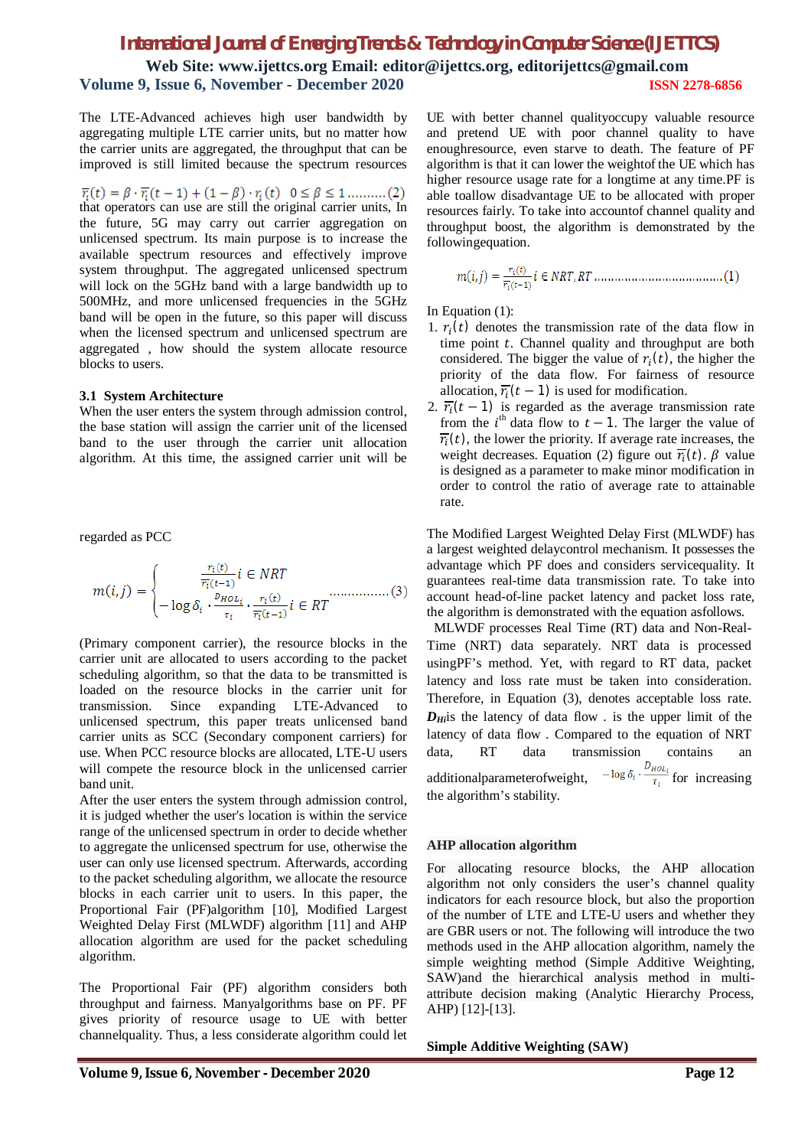**Web Site: www.ijettcs.org Email: editor@ijettcs.org, editorijettcs@gmail.com Volume 9, Issue 6, November - December 2020 ISSN 2278-6856**

The LTE-Advanced achieves high user bandwidth by aggregating multiple LTE carrier units, but no matter how the carrier units are aggregated, the throughput that can be improved is still limited because the spectrum resources

 $\overline{r_i}(t) = \beta \cdot \overline{r_i}(t-1) + (1-\beta) \cdot r_i(t) \quad 0 \le \beta \le 1$ ..........(2)<br>that operators can use are still the original carrier units, In the future, 5G may carry out carrier aggregation on unlicensed spectrum. Its main purpose is to increase the available spectrum resources and effectively improve system throughput. The aggregated unlicensed spectrum will lock on the 5GHz band with a large bandwidth up to 500MHz, and more unlicensed frequencies in the 5GHz band will be open in the future, so this paper will discuss when the licensed spectrum and unlicensed spectrum are aggregated , how should the system allocate resource blocks to users.

#### **3.1 System Architecture**

When the user enters the system through admission control, the base station will assign the carrier unit of the licensed band to the user through the carrier unit allocation algorithm. At this time, the assigned carrier unit will be

regarded as PCC

$$
m(i,j) = \begin{cases} \frac{r_i(t)}{\overline{r_i}(t-1)} i \in NRT\\ -\log \delta_i \cdot \frac{p_{HOL_i}}{r_i} \cdot \frac{r_i(t)}{\overline{r_i}(t-1)} i \in RT \end{cases} \tag{3}
$$

(Primary component carrier), the resource blocks in the carrier unit are allocated to users according to the packet scheduling algorithm, so that the data to be transmitted is loaded on the resource blocks in the carrier unit for transmission. Since expanding LTE-Advanced to unlicensed spectrum, this paper treats unlicensed band carrier units as SCC (Secondary component carriers) for use. When PCC resource blocks are allocated, LTE-U users will compete the resource block in the unlicensed carrier band unit.

After the user enters the system through admission control, it is judged whether the user's location is within the service range of the unlicensed spectrum in order to decide whether to aggregate the unlicensed spectrum for use, otherwise the user can only use licensed spectrum. Afterwards, according to the packet scheduling algorithm, we allocate the resource blocks in each carrier unit to users. In this paper, the Proportional Fair (PF)algorithm [10], Modified Largest Weighted Delay First (MLWDF) algorithm [11] and AHP allocation algorithm are used for the packet scheduling algorithm.

The Proportional Fair (PF) algorithm considers both throughput and fairness. Manyalgorithms base on PF. PF gives priority of resource usage to UE with better channelquality. Thus, a less considerate algorithm could let UE with better channel qualityoccupy valuable resource and pretend UE with poor channel quality to have enoughresource, even starve to death. The feature of PF algorithm is that it can lower the weightof the UE which has higher resource usage rate for a longtime at any time.PF is able toallow disadvantage UE to be allocated with proper resources fairly. To take into accountof channel quality and throughput boost, the algorithm is demonstrated by the followingequation.

In Equation (1):

- 1.  $r_i(t)$  denotes the transmission rate of the data flow in time point  $t$ . Channel quality and throughput are both considered. The bigger the value of  $r_i(t)$ , the higher the priority of the data flow. For fairness of resource allocation,  $\overline{r_i}(t-1)$  is used for modification.
- 2.  $\overline{r_i}(t-1)$  is regarded as the average transmission rate from the  $i<sup>th</sup>$  data flow to  $t - 1$ . The larger the value of  $\overline{r_i}(t)$ , the lower the priority. If average rate increases, the weight decreases. Equation (2) figure out  $\overline{r_i}(t)$ .  $\beta$  value is designed as a parameter to make minor modification in order to control the ratio of average rate to attainable rate.

The Modified Largest Weighted Delay First (MLWDF) has a largest weighted delaycontrol mechanism. It possesses the advantage which PF does and considers servicequality. It guarantees real-time data transmission rate. To take into account head-of-line packet latency and packet loss rate, the algorithm is demonstrated with the equation asfollows.

MLWDF processes Real Time (RT) data and Non-Real-Time (NRT) data separately. NRT data is processed usingPF's method. Yet, with regard to RT data, packet latency and loss rate must be taken into consideration. Therefore, in Equation (3), denotes acceptable loss rate.  $D_{Hi}$ is the latency of data flow . is the upper limit of the latency of data flow . Compared to the equation of NRT data, RT data transmission contains an additionalparameterofweight,  $-\log \delta_i \cdot \frac{D_{HOL_i}}{\tau_i}$  for increasing the algorithm's stability.

#### **AHP allocation algorithm**

For allocating resource blocks, the AHP allocation algorithm not only considers the user's channel quality indicators for each resource block, but also the proportion of the number of LTE and LTE-U users and whether they are GBR users or not. The following will introduce the two methods used in the AHP allocation algorithm, namely the simple weighting method (Simple Additive Weighting, SAW)and the hierarchical analysis method in multiattribute decision making (Analytic Hierarchy Process, AHP) [12]-[13].

**Simple Additive Weighting (SAW)**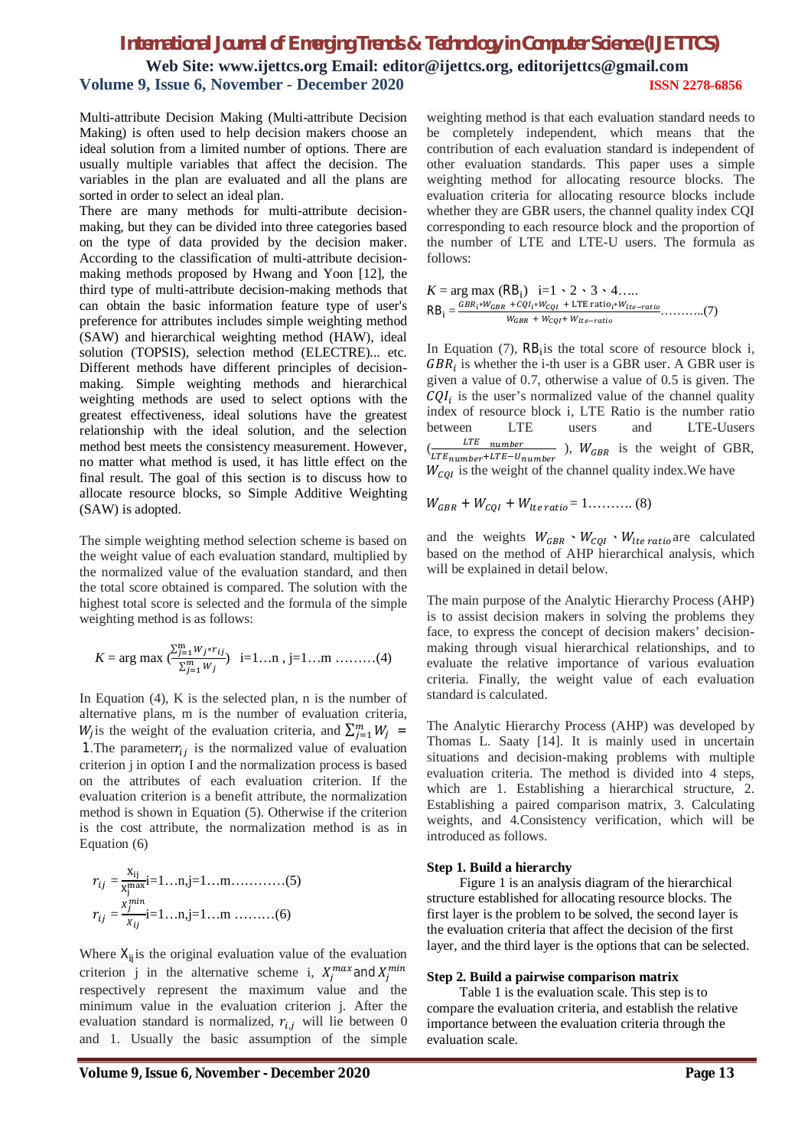### *International Journal of Emerging Trends & Technology in Computer Science (IJETTCS)* **Web Site: www.ijettcs.org Email: editor@ijettcs.org, editorijettcs@gmail.com Volume 9, Issue 6, November - December 2020 ISSN 2278-6856**

Multi-attribute Decision Making (Multi-attribute Decision Making) is often used to help decision makers choose an ideal solution from a limited number of options. There are usually multiple variables that affect the decision. The variables in the plan are evaluated and all the plans are sorted in order to select an ideal plan.

There are many methods for multi-attribute decisionmaking, but they can be divided into three categories based on the type of data provided by the decision maker. According to the classification of multi-attribute decisionmaking methods proposed by Hwang and Yoon [12], the third type of multi-attribute decision-making methods that can obtain the basic information feature type of user's preference for attributes includes simple weighting method (SAW) and hierarchical weighting method (HAW), ideal solution (TOPSIS), selection method (ELECTRE)... etc. Different methods have different principles of decisionmaking. Simple weighting methods and hierarchical weighting methods are used to select options with the greatest effectiveness, ideal solutions have the greatest relationship with the ideal solution, and the selection method best meets the consistency measurement. However, no matter what method is used, it has little effect on the final result. The goal of this section is to discuss how to allocate resource blocks, so Simple Additive Weighting (SAW) is adopted.

The simple weighting method selection scheme is based on the weight value of each evaluation standard, multiplied by the normalized value of the evaluation standard, and then the total score obtained is compared. The solution with the highest total score is selected and the formula of the simple weighting method is as follows:

$$
K = \arg \max \left( \frac{\sum_{j=1}^{m} w_j * r_{ij}}{\sum_{j=1}^{m} w_j} \right) \quad i = 1...n \text{ , } j = 1...m \text{ .........(4)}
$$

In Equation (4), K is the selected plan, n is the number of alternative plans, m is the number of evaluation criteria, W<sub>j</sub> is the weight of the evaluation criteria, and  $\sum_{j=1}^{m} W_j$  = 1. The parameter $r_{ij}$  is the normalized value of evaluation criterion j in option I and the normalization process is based on the attributes of each evaluation criterion. If the evaluation criterion is a benefit attribute, the normalization method is shown in Equation (5). Otherwise if the criterion is the cost attribute, the normalization method is as in Equation (6)

 = ݎ ଡ଼ౠ ଡ଼ౠ ౣ౮i=1…n,j=1…m…………(5) = ݎ ೕ ೕ i=1…n,j=1…m ………(6)

Where  $X_{ij}$  is the original evaluation value of the evaluation criterion j in the alternative scheme i,  $X_j^{max}$  and  $X_j^{min}$ respectively represent the maximum value and the minimum value in the evaluation criterion j. After the evaluation standard is normalized,  $r_{i,i}$  will lie between 0 and 1. Usually the basic assumption of the simple

weighting method is that each evaluation standard needs to be completely independent, which means that the contribution of each evaluation standard is independent of other evaluation standards. This paper uses a simple weighting method for allocating resource blocks. The evaluation criteria for allocating resource blocks include whether they are GBR users, the channel quality index CQI corresponding to each resource block and the proportion of the number of LTE and LTE-U users. The formula as follows:

 $K = \arg \max (RB_i)$  i=1 \cdot 2 \cdot 3 \cdot 4....  $RB_i = \frac{GBR_i * W_{GBR} + CQI_i * W_{COI} + \text{LTE ratio}_i * W_{tte-ratio}}{W_{tree} + W_{crit} W_{tot}} \dots \dots \dots \dots (7)$  $W_{GBR} + W_{CQI} + W_{lte-ratio}$ 

In Equation (7),  $RB<sub>i</sub>$  is the total score of resource block i,  $GBR_i$  is whether the i-th user is a GBR user. A GBR user is given a value of 0.7, otherwise a value of 0.5 is given. The  $CQI_i$  is the user's normalized value of the channel quality index of resource block i, LTE Ratio is the number ratio between LTE users and LTE-Uusers  $\left(\frac{L}{LT_{number}+LT_{number}}\right)$ ,  $W_{GBR}$  is the weight of GBR, LTE <u>number</u>  $W_{COI}$  is the weight of the channel quality index. We have

 $W_{GBR} + W_{CQI} + W_{lte\ ratio} = 1............ (8)$ 

and the weights  $W_{GBR} \cdot W_{COI} \cdot W_{lte\ ratio}$  are calculated based on the method of AHP hierarchical analysis, which will be explained in detail below.

The main purpose of the Analytic Hierarchy Process (AHP) is to assist decision makers in solving the problems they face, to express the concept of decision makers' decisionmaking through visual hierarchical relationships, and to evaluate the relative importance of various evaluation criteria. Finally, the weight value of each evaluation standard is calculated.

The Analytic Hierarchy Process (AHP) was developed by Thomas L. Saaty [14]. It is mainly used in uncertain situations and decision-making problems with multiple evaluation criteria. The method is divided into 4 steps, which are 1. Establishing a hierarchical structure, 2. Establishing a paired comparison matrix, 3. Calculating weights, and 4.Consistency verification, which will be introduced as follows.

### **Step 1. Build a hierarchy**

Figure 1 is an analysis diagram of the hierarchical structure established for allocating resource blocks. The first layer is the problem to be solved, the second layer is the evaluation criteria that affect the decision of the first layer, and the third layer is the options that can be selected.

### **Step 2. Build a pairwise comparison matrix**

Table 1 is the evaluation scale. This step is to compare the evaluation criteria, and establish the relative importance between the evaluation criteria through the evaluation scale.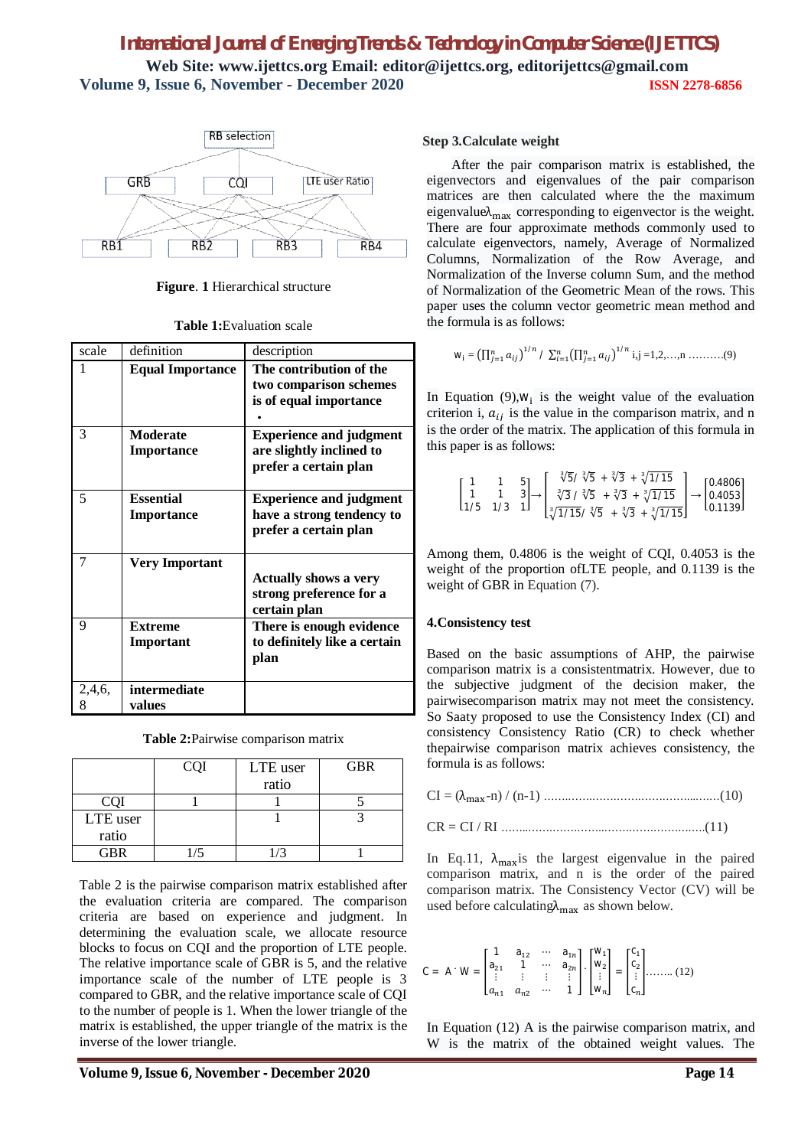### *International Journal of Emerging Trends & Technology in Computer Science (IJETTCS)* **Web Site: www.ijettcs.org Email: editor@ijettcs.org, editorijettcs@gmail.com Volume 9, Issue 6, November - December 2020 ISSN 2278-6856**



**Figure**. **1** Hierarchical structure

| scale       | definition                            | description                                                                          |
|-------------|---------------------------------------|--------------------------------------------------------------------------------------|
| 1           | <b>Equal Importance</b>               | The contribution of the<br>two comparison schemes<br>is of equal importance          |
| 3           | <b>Moderate</b><br><b>Importance</b>  | <b>Experience and judgment</b><br>are slightly inclined to<br>prefer a certain plan  |
| 5           | <b>Essential</b><br><b>Importance</b> | <b>Experience and judgment</b><br>have a strong tendency to<br>prefer a certain plan |
| 7           | <b>Very Important</b>                 | <b>Actually shows a very</b><br>strong preference for a<br>certain plan              |
| 9           | <b>Extreme</b><br>Important           | There is enough evidence<br>to definitely like a certain<br>plan                     |
| 2,4,6,<br>8 | intermediate<br>values                |                                                                                      |

**Table 2:**Pairwise comparison matrix

|          | <b>CQI</b> | LTE user   | <b>GBR</b> |
|----------|------------|------------|------------|
|          |            | ratio      |            |
| COI      |            |            |            |
| LTE user |            |            |            |
| ratio    |            |            |            |
| GBR      | /5         | $\sqrt{3}$ |            |

Table 2 is the pairwise comparison matrix established after the evaluation criteria are compared. The comparison criteria are based on experience and judgment. In determining the evaluation scale, we allocate resource blocks to focus on CQI and the proportion of LTE people. The relative importance scale of GBR is 5, and the relative importance scale of the number of LTE people is 3 compared to GBR, and the relative importance scale of CQI to the number of people is 1. When the lower triangle of the matrix is established, the upper triangle of the matrix is the inverse of the lower triangle.

### **Step 3.Calculate weight**

After the pair comparison matrix is established, the eigenvectors and eigenvalues of the pair comparison matrices are then calculated where the the maximum eigenvalue $\lambda_{\text{max}}$  corresponding to eigenvector is the weight. There are four approximate methods commonly used to calculate eigenvectors, namely, Average of Normalized Columns, Normalization of the Row Average, and Normalization of the Inverse column Sum, and the method of Normalization of the Geometric Mean of the rows. This paper uses the column vector geometric mean method and the formula is as follows:

$$
W_i = \left(\prod_{j=1}^n a_{ij}\right)^{1/n} / \sum_{i=1}^n \left(\prod_{j=1}^n a_{ij}\right)^{1/n} i, j = 1, 2, ..., n \dots (9)
$$

In Equation (9), $W_i$  is the weight value of the evaluation criterion i,  $a_{ij}$  is the value in the comparison matrix, and n is the order of the matrix. The application of this formula in this paper is as follows:

$$
\begin{bmatrix} 1 & 1 & 5 \\ 1 & 1 & 3 \\ 1/5 & 1/3 & 1 \end{bmatrix} \rightarrow \begin{bmatrix} \sqrt[3]{5}/\sqrt[3]{5} + \sqrt[3]{3} + \sqrt[3]{1/15} \\ \sqrt[3]{3}/\sqrt[3]{5} + \sqrt[3]{3} + \sqrt[3]{1/15} \\ \sqrt[3]{1/15}/\sqrt[3]{5} + \sqrt[3]{3} + \sqrt[3]{1/15} \end{bmatrix} \rightarrow \begin{bmatrix} 0.4806 \\ 0.4053 \\ 0.1139 \end{bmatrix}
$$

Among them, 0.4806 is the weight of CQI, 0.4053 is the weight of the proportion ofLTE people, and 0.1139 is the weight of GBR in Equation (7).

### **4.Consistency test**

Based on the basic assumptions of AHP, the pairwise comparison matrix is a consistentmatrix. However, due to the subjective judgment of the decision maker, the pairwisecomparison matrix may not meet the consistency. So Saaty proposed to use the Consistency Index (CI) and consistency Consistency Ratio (CR) to check whether thepairwise comparison matrix achieves consistency, the formula is as follows:

In Eq.11,  $\lambda_{\text{max}}$  is the largest eigenvalue in the paired comparison matrix, and n is the order of the paired comparison matrix. The Consistency Vector (CV) will be used before calculating  $\lambda_{\text{max}}$  as shown below.

$$
C = A \cdot W = \begin{bmatrix} 1 & a_{12} & \cdots & a_{1n} \\ a_{21} & 1 & \cdots & a_{2n} \\ \vdots & \vdots & \vdots & \vdots \\ a_{n1} & a_{n2} & \cdots & 1 \end{bmatrix} \cdot \begin{bmatrix} W_1 \\ W_2 \\ \vdots \\ W_n \end{bmatrix} = \begin{bmatrix} C_1 \\ C_2 \\ \vdots \\ C_n \end{bmatrix} \dots \dots \dots (12)
$$

In Equation (12) A is the pairwise comparison matrix, and W is the matrix of the obtained weight values. The

**Volume 9, Issue 6, November - December 2020 Page 14**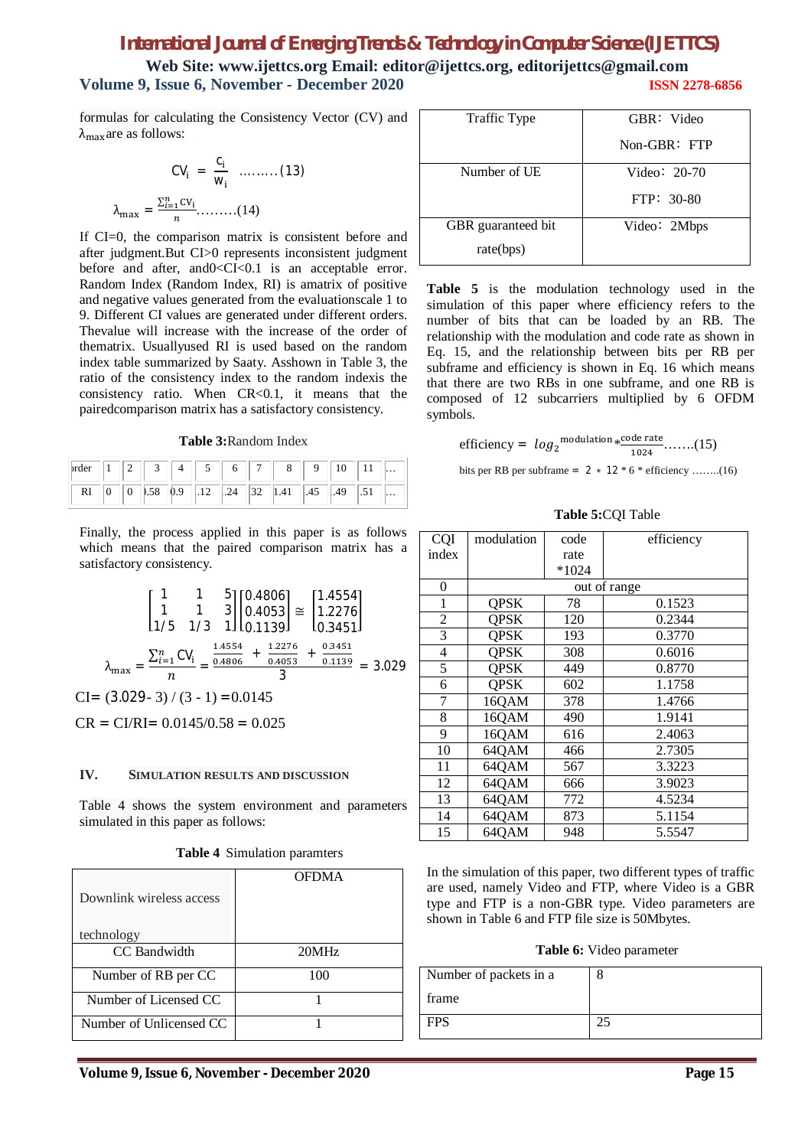**Web Site: www.ijettcs.org Email: editor@ijettcs.org, editorijettcs@gmail.com Volume 9, Issue 6, November - December 2020 ISSN 2278-6856**

formulas for calculating the Consistency Vector (CV) and  $\lambda_{\text{max}}$  are as follows:

$$
CV_{i} = \frac{C_{i}}{W_{i}} \quad ....... (13)
$$

$$
\lambda_{\max} = \frac{\sum_{i=1}^{n}CV_{i}}{n} .........(14)
$$

If CI=0, the comparison matrix is consistent before and after judgment.But CI>0 represents inconsistent judgment before and after, and 0 < CI< 0.1 is an acceptable error. Random Index (Random Index, RI) is amatrix of positive and negative values generated from the evaluationscale 1 to 9. Different CI values are generated under different orders. Thevalue will increase with the increase of the order of thematrix. Usuallyused RI is used based on the random index table summarized by Saaty. Asshown in Table 3, the ratio of the consistency index to the random indexis the consistency ratio. When  $CR < 0.1$ , it means that the pairedcomparison matrix has a satisfactory consistency.

**Table 3:**Random Index

| $\left  \text{order} \right   1   2   3   4   5 $                                                            |  |  |  |  |  | $8 \parallel 9 \parallel 10 \parallel 11 \parallel $ |  |
|--------------------------------------------------------------------------------------------------------------|--|--|--|--|--|------------------------------------------------------|--|
| RI $\begin{bmatrix} 0 & 0 & 0.58 & 0.9 & 0.12 & 0.24 & 32 & 1.41 & 0.45 & 0.49 & 0.51 & \dots \end{bmatrix}$ |  |  |  |  |  |                                                      |  |

Finally, the process applied in this paper is as follows which means that the paired comparison matrix has a satisfactory consistency.

$$
\begin{bmatrix} 1 & 1 & 5 \ 1 & 1 & 3 \ 1/5 & 1/3 & 1 \ \end{bmatrix} \begin{bmatrix} 0.4806 \ 0.4053 \ 0.139 \end{bmatrix} \cong \begin{bmatrix} 1.4554 \ 1.2276 \ 0.3451 \end{bmatrix}
$$

$$
\lambda_{\text{max}} = \frac{\sum_{i=1}^{n} \text{CV}_i}{n} = \frac{\frac{1.4554}{0.4806} + \frac{1.2276}{0.4053} + \frac{0.3451}{0.1139}}{3} = 3.029
$$

$$
\text{CI} = (3.029 - 3) / (3 - 1) = 0.0145
$$

 $CR = C1/RI = 0.0145/0.58 = 0.025$ 

#### **IV. SIMULATION RESULTS AND DISCUSSION**

Table 4 shows the system environment and parameters simulated in this paper as follows:

| Downlink wireless access | <b>OFDMA</b> |
|--------------------------|--------------|
| technology               |              |
| CC Bandwidth             | 20MHz        |
| Number of RB per CC      | 100          |
| Number of Licensed CC    |              |
| Number of Unlicensed CC  |              |

| Traffic Type       | GBR: Video   |
|--------------------|--------------|
|                    | Non-GBR: FTP |
| Number of UE       | Video: 20-70 |
|                    | FTP: 30-80   |
| GBR guaranteed bit | Video: 2Mbps |
| rate(bps)          |              |

**Table 5** is the modulation technology used in the simulation of this paper where efficiency refers to the number of bits that can be loaded by an RB. The relationship with the modulation and code rate as shown in Eq. 15, and the relationship between bits per RB per subframe and efficiency is shown in Eq. 16 which means that there are two RBs in one subframe, and one RB is composed of 12 subcarriers multiplied by 6 OFDM symbols.

efficiency = 
$$
log_2
$$
<sup>modulation</sup> \*<sup>code rate</sup> (15)

bits per RB per subframe =  $2 * 12 * 6 *$  efficiency ........(16)

**Table 5:**CQI Table

| CQI            | modulation  | code    | efficiency   |
|----------------|-------------|---------|--------------|
| index          |             | rate    |              |
|                |             | $*1024$ |              |
| 0              |             |         | out of range |
| $\mathbf{1}$   | <b>QPSK</b> | 78      | 0.1523       |
| $\overline{c}$ | <b>QPSK</b> | 120     | 0.2344       |
| 3              | <b>QPSK</b> | 193     | 0.3770       |
| 4              | <b>QPSK</b> | 308     | 0.6016       |
| 5              | <b>QPSK</b> | 449     | 0.8770       |
| 6              | <b>QPSK</b> | 602     | 1.1758       |
| 7              | 16QAM       | 378     | 1.4766       |
| 8              | 16QAM       | 490     | 1.9141       |
| 9              | 16QAM       | 616     | 2.4063       |
| 10             | 64QAM       | 466     | 2.7305       |
| 11             | 64QAM       | 567     | 3.3223       |
| 12             | 64QAM       | 666     | 3.9023       |
| 13             | 64QAM       | 772     | 4.5234       |
| 14             | 64QAM       | 873     | 5.1154       |
| 15             | 64QAM       | 948     | 5.5547       |

In the simulation of this paper, two different types of traffic are used, namely Video and FTP, where Video is a GBR type and FTP is a non-GBR type. Video parameters are shown in Table 6 and FTP file size is 50Mbytes.

**Table 6:** Video parameter

| Number of packets in a |  |
|------------------------|--|
| frame                  |  |
| <b>FPS</b>             |  |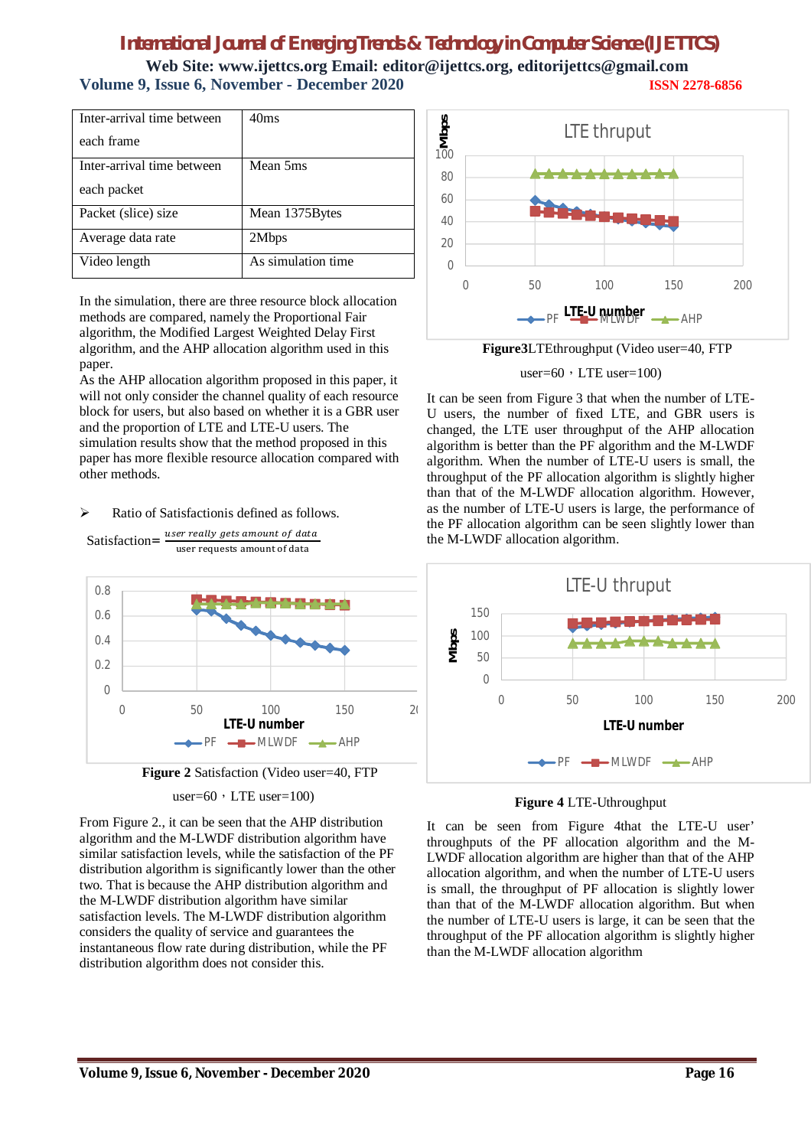**Web Site: www.ijettcs.org Email: editor@ijettcs.org, editorijettcs@gmail.com Volume 9, Issue 6, November - December 2020 ISSN 2278-6856**

| Inter-arrival time between | 40ms               |
|----------------------------|--------------------|
| each frame                 |                    |
| Inter-arrival time between | Mean 5ms           |
| each packet                |                    |
| Packet (slice) size        | Mean 1375 Bytes    |
| Average data rate          | 2Mbps              |
| Video length               | As simulation time |

In the simulation, there are three resource block allocation methods are compared, namely the Proportional Fair algorithm, the Modified Largest Weighted Delay First algorithm, and the AHP allocation algorithm used in this paper.

As the AHP allocation algorithm proposed in this paper, it will not only consider the channel quality of each resource block for users, but also based on whether it is a GBR user and the proportion of LTE and LTE-U users. The simulation results show that the method proposed in this paper has more flexible resource allocation compared with other methods.

 $\triangleright$  Ratio of Satisfactionis defined as follows.







From Figure 2., it can be seen that the AHP distribution algorithm and the M-LWDF distribution algorithm have similar satisfaction levels, while the satisfaction of the PF distribution algorithm is significantly lower than the other two. That is because the AHP distribution algorithm and the M-LWDF distribution algorithm have similar satisfaction levels. The M-LWDF distribution algorithm considers the quality of service and guarantees the instantaneous flow rate during distribution, while the PF distribution algorithm does not consider this.



**Figure3**LTEthroughput (Video user=40, FTP

#### user= $60$ , LTE user= $100$ )

It can be seen from Figure 3 that when the number of LTE-U users, the number of fixed LTE, and GBR users is changed, the LTE user throughput of the AHP allocation algorithm is better than the PF algorithm and the M-LWDF algorithm. When the number of LTE-U users is small, the throughput of the PF allocation algorithm is slightly higher than that of the M-LWDF allocation algorithm. However, as the number of LTE-U users is large, the performance of the PF allocation algorithm can be seen slightly lower than the M-LWDF allocation algorithm.



#### **Figure 4** LTE-Uthroughput

It can be seen from Figure 4that the LTE-U user' throughputs of the PF allocation algorithm and the M-LWDF allocation algorithm are higher than that of the AHP allocation algorithm, and when the number of LTE-U users is small, the throughput of PF allocation is slightly lower than that of the M-LWDF allocation algorithm. But when the number of LTE-U users is large, it can be seen that the throughput of the PF allocation algorithm is slightly higher than the M-LWDF allocation algorithm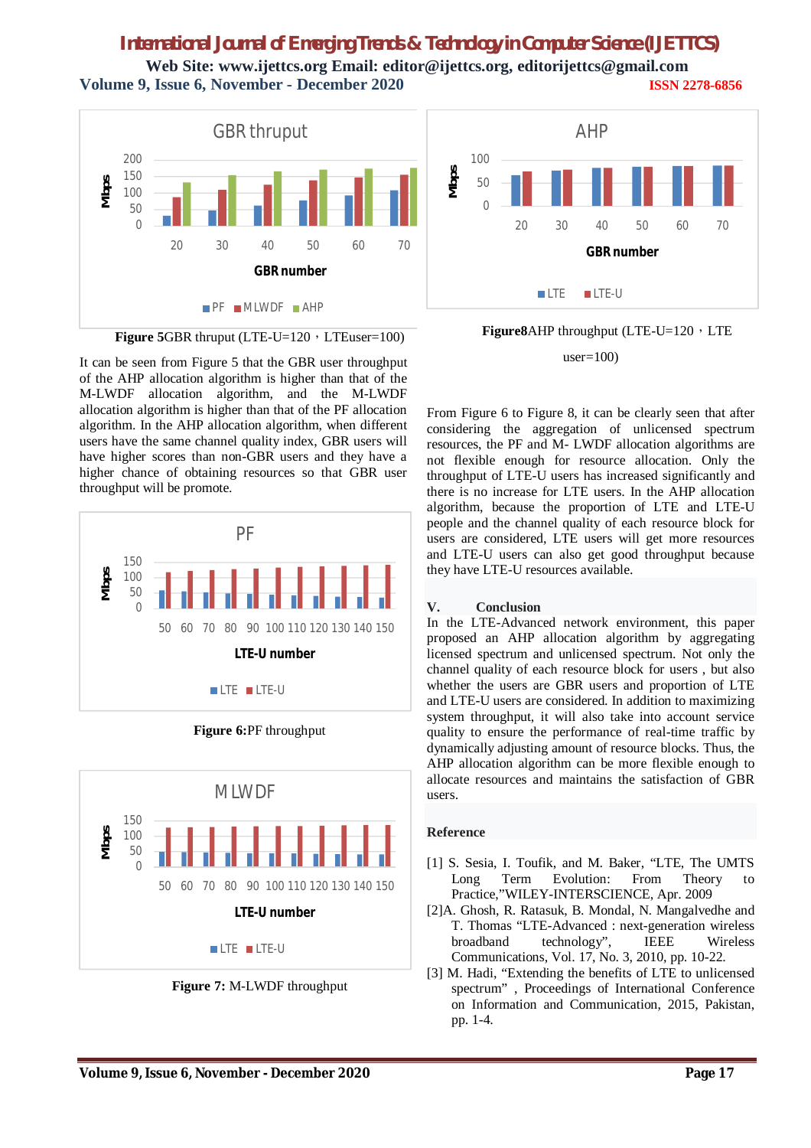**Web Site: www.ijettcs.org Email: editor@ijettcs.org, editorijettcs@gmail.com Volume 9, Issue 6, November - December 2020 ISSN 2278-6856**



**Figure 5GBR** thruput (LTE-U= $120 \cdot LTE$ user= $100$ )

It can be seen from Figure 5 that the GBR user throughput of the AHP allocation algorithm is higher than that of the M-LWDF allocation algorithm, and the M-LWDF allocation algorithm is higher than that of the PF allocation algorithm. In the AHP allocation algorithm, when different users have the same channel quality index, GBR users will have higher scores than non-GBR users and they have a higher chance of obtaining resources so that GBR user throughput will be promote.



**Figure 6:**PF throughput



**Figure 7:** M-LWDF throughput



**Figure8**AHP throughput (LTE-U=120, LTE

 $user=100$ 

From Figure 6 to Figure 8, it can be clearly seen that after considering the aggregation of unlicensed spectrum resources, the PF and M- LWDF allocation algorithms are not flexible enough for resource allocation. Only the throughput of LTE-U users has increased significantly and there is no increase for LTE users. In the AHP allocation algorithm, because the proportion of LTE and LTE-U people and the channel quality of each resource block for users are considered, LTE users will get more resources and LTE-U users can also get good throughput because they have LTE-U resources available.

### **V. Conclusion**

In the LTE-Advanced network environment, this paper proposed an AHP allocation algorithm by aggregating licensed spectrum and unlicensed spectrum. Not only the channel quality of each resource block for users , but also whether the users are GBR users and proportion of LTE and LTE-U users are considered. In addition to maximizing system throughput, it will also take into account service quality to ensure the performance of real-time traffic by dynamically adjusting amount of resource blocks. Thus, the AHP allocation algorithm can be more flexible enough to allocate resources and maintains the satisfaction of GBR users.

### **Reference**

- [1] S. Sesia, I. Toufik, and M. Baker, "LTE, The UMTS Long Term Evolution: From Theory Practice,"WILEY-INTERSCIENCE, Apr. 2009
- [2]A. Ghosh, R. Ratasuk, B. Mondal, N. Mangalvedhe and T. Thomas "LTE-Advanced : next-generation wireless broadband technology", IEEE Wireless Communications, Vol. 17, No. 3, 2010, pp. 10-22.
- [3] M. Hadi, "Extending the benefits of LTE to unlicensed spectrum" , Proceedings of International Conference on Information and Communication, 2015, Pakistan, pp. 1-4.